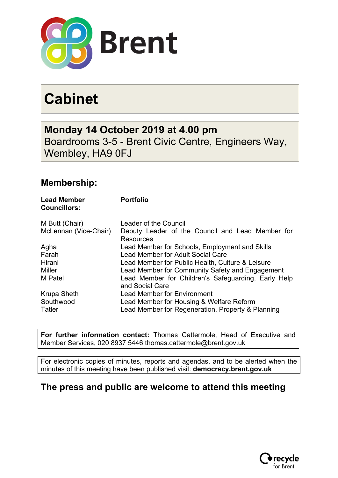

# **Cabinet**

**Monday 14 October 2019 at 4.00 pm** Boardrooms 3-5 - Brent Civic Centre, Engineers Way, Wembley, HA9 0FJ

### **Membership:**

| <b>Lead Member</b><br><b>Councillors:</b> | <b>Portfolio</b>                                                       |
|-------------------------------------------|------------------------------------------------------------------------|
| M Butt (Chair)                            | Leader of the Council                                                  |
| McLennan (Vice-Chair)                     | Deputy Leader of the Council and Lead Member for<br><b>Resources</b>   |
| Agha                                      | Lead Member for Schools, Employment and Skills                         |
| Farah                                     | Lead Member for Adult Social Care                                      |
| Hirani                                    | Lead Member for Public Health, Culture & Leisure                       |
| Miller                                    | Lead Member for Community Safety and Engagement                        |
| M Patel                                   | Lead Member for Children's Safeguarding, Early Help<br>and Social Care |
| <b>Krupa Sheth</b>                        | <b>Lead Member for Environment</b>                                     |
| Southwood                                 | Lead Member for Housing & Welfare Reform                               |
| Tatler                                    | Lead Member for Regeneration, Property & Planning                      |

**For further information contact:** Thomas Cattermole, Head of Executive and Member Services, 020 8937 5446 thomas.cattermole@brent.gov.uk

For electronic copies of minutes, reports and agendas, and to be alerted when the minutes of this meeting have been published visit: **democracy.brent.gov.uk**

#### **The press and public are welcome to attend this meeting**

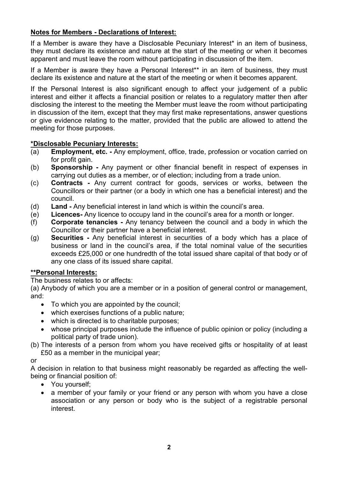#### **Notes for Members - Declarations of Interest:**

If a Member is aware they have a Disclosable Pecuniary Interest<sup>\*</sup> in an item of business, they must declare its existence and nature at the start of the meeting or when it becomes apparent and must leave the room without participating in discussion of the item.

If a Member is aware they have a Personal Interest\*\* in an item of business, they must declare its existence and nature at the start of the meeting or when it becomes apparent.

If the Personal Interest is also significant enough to affect your judgement of a public interest and either it affects a financial position or relates to a regulatory matter then after disclosing the interest to the meeting the Member must leave the room without participating in discussion of the item, except that they may first make representations, answer questions or give evidence relating to the matter, provided that the public are allowed to attend the meeting for those purposes.

#### **\*Disclosable Pecuniary Interests:**

- (a) **Employment, etc. -** Any employment, office, trade, profession or vocation carried on for profit gain.
- (b) **Sponsorship -** Any payment or other financial benefit in respect of expenses in carrying out duties as a member, or of election; including from a trade union.
- (c) **Contracts -** Any current contract for goods, services or works, between the Councillors or their partner (or a body in which one has a beneficial interest) and the council.
- (d) **Land -** Any beneficial interest in land which is within the council's area.
- (e) **Licences-** Any licence to occupy land in the council's area for a month or longer.
- (f) **Corporate tenancies -** Any tenancy between the council and a body in which the Councillor or their partner have a beneficial interest.
- (g) **Securities -** Any beneficial interest in securities of a body which has a place of business or land in the council's area, if the total nominal value of the securities exceeds £25,000 or one hundredth of the total issued share capital of that body or of any one class of its issued share capital.

#### **\*\*Personal Interests:**

The business relates to or affects:

(a) Anybody of which you are a member or in a position of general control or management, and:

- To which you are appointed by the council;
- which exercises functions of a public nature;
- which is directed is to charitable purposes:
- whose principal purposes include the influence of public opinion or policy (including a political party of trade union).
- (b) The interests of a person from whom you have received gifts or hospitality of at least £50 as a member in the municipal year;

or

A decision in relation to that business might reasonably be regarded as affecting the wellbeing or financial position of:

- You yourself;
- a member of your family or your friend or any person with whom you have a close association or any person or body who is the subject of a registrable personal interest.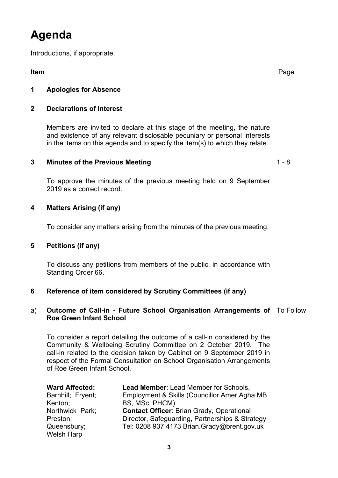## **Agenda**

Introductions, if appropriate.

**Item** Page

#### **1 Apologies for Absence**

#### **2 Declarations of Interest**

Members are invited to declare at this stage of the meeting, the nature and existence of any relevant disclosable pecuniary or personal interests in the items on this agenda and to specify the item(s) to which they relate.

#### **3 Minutes of the Previous Meeting** 1 - 8

To approve the minutes of the previous meeting held on 9 September 2019 as a correct record.

#### **4 Matters Arising (if any)**

To consider any matters arising from the minutes of the previous meeting.

#### **5 Petitions (if any)**

To discuss any petitions from members of the public, in accordance with Standing Order 66.

#### **6 Reference of item considered by Scrutiny Committees (if any)**

#### a) **Outcome of Call-in - Future School Organisation Arrangements of** To Follow **Roe Green Infant School**

To consider a report detailing the outcome of a call-in considered by the Community & Wellbeing Scrutiny Committee on 2 October 2019. The call-in related to the decision taken by Cabinet on 9 September 2019 in respect of the Formal Consultation on School Organisation Arrangements of Roe Green Infant School.

| <b>Ward Affected:</b> | Lead Member: Lead Member for Schools,            |
|-----------------------|--------------------------------------------------|
| Barnhill; Fryent;     | Employment & Skills (Councillor Amer Agha MB     |
| Kenton;               | BS, MSc, PHCM)                                   |
| Northwick Park;       | <b>Contact Officer: Brian Grady, Operational</b> |
| Preston;              | Director, Safeguarding, Partnerships & Strategy  |
| Queensbury;           | Tel: 0208 937 4173 Brian.Grady@brent.gov.uk      |
| Welsh Harp            |                                                  |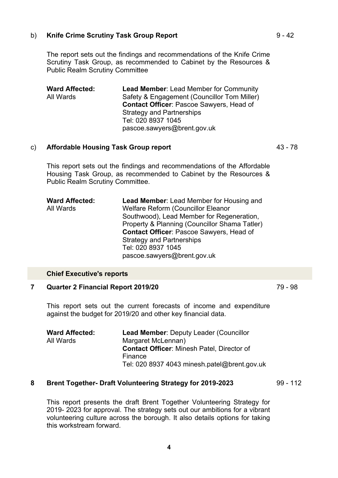#### b) **Knife Crime Scrutiny Task Group Report** 9 - 42

The report sets out the findings and recommendations of the Knife Crime Scrutiny Task Group, as recommended to Cabinet by the Resources & Public Realm Scrutiny Committee

**Ward Affected:** All Wards **Lead Member**: Lead Member for Community Safety & Engagement (Councillor Tom Miller) **Contact Officer**: Pascoe Sawyers, Head of Strategy and Partnerships Tel: 020 8937 1045 pascoe.sawyers@brent.gov.uk

#### c) **Affordable Housing Task Group report** 43 - 78

This report sets out the findings and recommendations of the Affordable Housing Task Group, as recommended to Cabinet by the Resources & Public Realm Scrutiny Committee.

| <b>Ward Affected:</b> | <b>Lead Member: Lead Member for Housing and</b> |
|-----------------------|-------------------------------------------------|
| All Wards             | <b>Welfare Reform (Councillor Eleanor</b>       |
|                       | Southwood), Lead Member for Regeneration,       |
|                       | Property & Planning (Councillor Shama Tatler)   |
|                       | <b>Contact Officer: Pascoe Sawyers, Head of</b> |
|                       | <b>Strategy and Partnerships</b>                |
|                       | Tel: 020 8937 1045                              |
|                       | pascoe.sawyers@brent.gov.uk                     |

#### **Chief Executive's reports**

#### **7 Quarter 2 Financial Report 2019/20** 79 - 98

This report sets out the current forecasts of income and expenditure against the budget for 2019/20 and other key financial data.

| <b>Ward Affected:</b> | <b>Lead Member: Deputy Leader (Councillor</b>     |
|-----------------------|---------------------------------------------------|
| All Wards             | Margaret McLennan)                                |
|                       | <b>Contact Officer: Minesh Patel, Director of</b> |
|                       | Finance                                           |
|                       | Tel: 020 8937 4043 minesh.patel@brent.gov.uk      |

#### **8 Brent Together- Draft Volunteering Strategy for 2019-2023** 99 - 112

This report presents the draft Brent Together Volunteering Strategy for 2019- 2023 for approval. The strategy sets out our ambitions for a vibrant volunteering culture across the borough. It also details options for taking this workstream forward.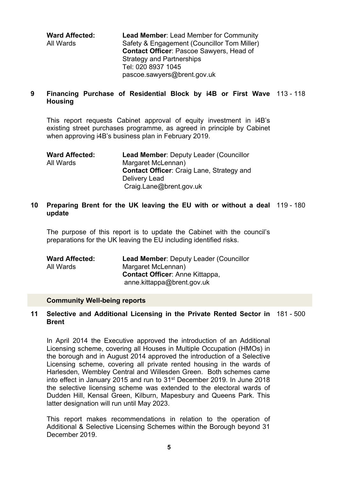**Ward Affected:** All Wards **Lead Member**: Lead Member for Community Safety & Engagement (Councillor Tom Miller) **Contact Officer**: Pascoe Sawyers, Head of Strategy and Partnerships Tel: 020 8937 1045 pascoe.sawyers@brent.gov.uk

#### **9 Financing Purchase of Residential Block by i4B or First Wave** 113 - 118 **Housing**

This report requests Cabinet approval of equity investment in i4B's existing street purchases programme, as agreed in principle by Cabinet when approving i4B's business plan in February 2019.

| <b>Ward Affected:</b> | <b>Lead Member: Deputy Leader (Councillor</b>    |
|-----------------------|--------------------------------------------------|
| All Wards             | Margaret McLennan)                               |
|                       | <b>Contact Officer: Craig Lane, Strategy and</b> |
|                       | Delivery Lead                                    |
|                       | Craig.Lane@brent.gov.uk                          |

#### **10 Preparing Brent for the UK leaving the EU with or without a deal** 119 - 180 **update**

The purpose of this report is to update the Cabinet with the council's preparations for the UK leaving the EU including identified risks.

| <b>Ward Affected:</b> | <b>Lead Member: Deputy Leader (Councillor</b> |
|-----------------------|-----------------------------------------------|
| All Wards             | Margaret McLennan)                            |
|                       | <b>Contact Officer: Anne Kittappa,</b>        |
|                       | anne.kittappa@brent.gov.uk                    |

#### **Community Well-being reports**

#### **11 Selective and Additional Licensing in the Private Rented Sector in** 181 - 500 **Brent**

In April 2014 the Executive approved the introduction of an Additional Licensing scheme, covering all Houses in Multiple Occupation (HMOs) in the borough and in August 2014 approved the introduction of a Selective Licensing scheme, covering all private rented housing in the wards of Harlesden, Wembley Central and Willesden Green. Both schemes came into effect in January 2015 and run to 31st December 2019. In June 2018 the selective licensing scheme was extended to the electoral wards of Dudden Hill, Kensal Green, Kilburn, Mapesbury and Queens Park. This latter designation will run until May 2023.

This report makes recommendations in relation to the operation of Additional & Selective Licensing Schemes within the Borough beyond 31 December 2019.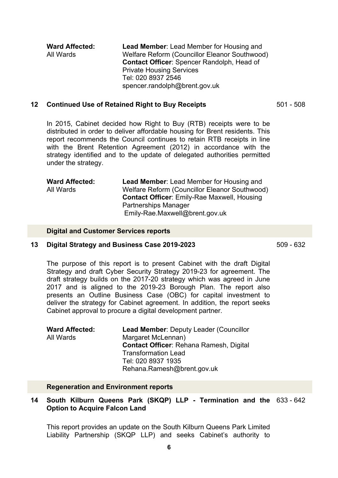**Ward Affected:** All Wards **Lead Member**: Lead Member for Housing and Welfare Reform (Councillor Eleanor Southwood) **Contact Officer**: Spencer Randolph, Head of Private Housing Services Tel: 020 8937 2546 spencer.randolph@brent.gov.uk

#### **12 Continued Use of Retained Right to Buy Receipts** 501 - 508

In 2015, Cabinet decided how Right to Buy (RTB) receipts were to be distributed in order to deliver affordable housing for Brent residents. This report recommends the Council continues to retain RTB receipts in line with the Brent Retention Agreement (2012) in accordance with the strategy identified and to the update of delegated authorities permitted under the strategy.

| <b>Ward Affected:</b> | <b>Lead Member:</b> Lead Member for Housing and    |
|-----------------------|----------------------------------------------------|
| All Wards             | Welfare Reform (Councillor Eleanor Southwood)      |
|                       | <b>Contact Officer: Emily-Rae Maxwell, Housing</b> |
|                       | <b>Partnerships Manager</b>                        |
|                       | Emily-Rae.Maxwell@brent.gov.uk                     |

#### **Digital and Customer Services reports**

#### **13 Digital Strategy and Business Case 2019-2023** 509 - 632

The purpose of this report is to present Cabinet with the draft Digital Strategy and draft Cyber Security Strategy 2019-23 for agreement. The draft strategy builds on the 2017-20 strategy which was agreed in June 2017 and is aligned to the 2019-23 Borough Plan. The report also presents an Outline Business Case (OBC) for capital investment to deliver the strategy for Cabinet agreement. In addition, the report seeks Cabinet approval to procure a digital development partner.

| <b>Ward Affected:</b> | Lead Member: Deputy Leader (Councillor         |
|-----------------------|------------------------------------------------|
| All Wards             | Margaret McLennan)                             |
|                       | <b>Contact Officer: Rehana Ramesh, Digital</b> |
|                       | <b>Transformation Lead</b>                     |
|                       | Tel: 020 8937 1935                             |
|                       | Rehana.Ramesh@brent.gov.uk                     |

#### **Regeneration and Environment reports**

#### **14 South Kilburn Queens Park (SKQP) LLP - Termination and the** 633 - 642 **Option to Acquire Falcon Land**

This report provides an update on the South Kilburn Queens Park Limited Liability Partnership (SKQP LLP) and seeks Cabinet's authority to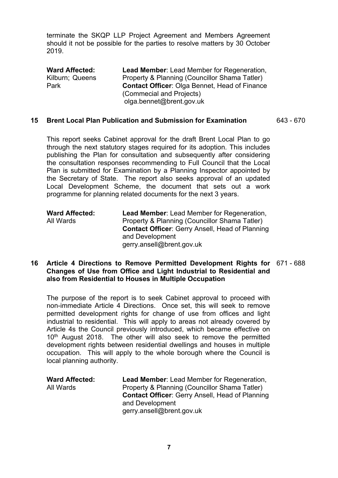terminate the SKQP LLP Project Agreement and Members Agreement should it not be possible for the parties to resolve matters by 30 October 2019.

**Ward Affected:** Kilburn; Queens Park **Lead Member**: Lead Member for Regeneration, Property & Planning (Councillor Shama Tatler) **Contact Officer**: Olga Bennet, Head of Finance (Commecial and Projects) olga.bennet@brent.gov.uk

#### **15 Brent Local Plan Publication and Submission for Examination** 643 - 670

This report seeks Cabinet approval for the draft Brent Local Plan to go through the next statutory stages required for its adoption. This includes publishing the Plan for consultation and subsequently after considering the consultation responses recommending to Full Council that the Local Plan is submitted for Examination by a Planning Inspector appointed by the Secretary of State. The report also seeks approval of an updated Local Development Scheme, the document that sets out a work programme for planning related documents for the next 3 years.

| <b>Ward Affected:</b> | <b>Lead Member:</b> Lead Member for Regeneration,      |
|-----------------------|--------------------------------------------------------|
| All Wards             | Property & Planning (Councillor Shama Tatler)          |
|                       | <b>Contact Officer: Gerry Ansell, Head of Planning</b> |
|                       | and Development                                        |
|                       | gerry.ansell@brent.gov.uk                              |

#### **16 Article 4 Directions to Remove Permitted Development Rights for** 671 - 688 **Changes of Use from Office and Light Industrial to Residential and also from Residential to Houses in Multiple Occupation**

The purpose of the report is to seek Cabinet approval to proceed with non-immediate Article 4 Directions. Once set, this will seek to remove permitted development rights for change of use from offices and light industrial to residential. This will apply to areas not already covered by Article 4s the Council previously introduced, which became effective on 10<sup>th</sup> August 2018. The other will also seek to remove the permitted development rights between residential dwellings and houses in multiple occupation. This will apply to the whole borough where the Council is local planning authority.

| <b>Ward Affected:</b> | <b>Lead Member: Lead Member for Regeneration,</b>      |
|-----------------------|--------------------------------------------------------|
| All Wards             | Property & Planning (Councillor Shama Tatler)          |
|                       | <b>Contact Officer: Gerry Ansell, Head of Planning</b> |
|                       | and Development                                        |
|                       | gerry.ansell@brent.gov.uk                              |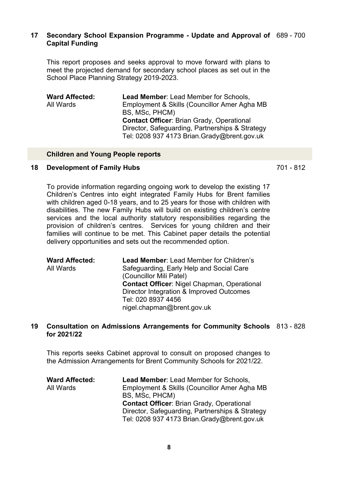#### **17 Secondary School Expansion Programme - Update and Approval of** 689 - 700 **Capital Funding**

This report proposes and seeks approval to move forward with plans to meet the projected demand for secondary school places as set out in the School Place Planning Strategy 2019-2023.

| <b>Ward Affected:</b> | <b>Lead Member: Lead Member for Schools,</b>     |
|-----------------------|--------------------------------------------------|
| All Wards             | Employment & Skills (Councillor Amer Agha MB     |
|                       | BS, MSc, PHCM)                                   |
|                       | <b>Contact Officer: Brian Grady, Operational</b> |
|                       | Director, Safeguarding, Partnerships & Strategy  |
|                       | Tel: 0208 937 4173 Brian.Grady@brent.gov.uk      |

#### **Children and Young People reports**

#### **18 Development of Family Hubs** 701 - 812

To provide information regarding ongoing work to develop the existing 17 Children's Centres into eight integrated Family Hubs for Brent families with children aged 0-18 years, and to 25 years for those with children with disabilities. The new Family Hubs will build on existing children's centre services and the local authority statutory responsibilities regarding the provision of children's centres. Services for young children and their families will continue to be met. This Cabinet paper details the potential delivery opportunities and sets out the recommended option.

| <b>Ward Affected:</b> | Lead Member: Lead Member for Children's     |
|-----------------------|---------------------------------------------|
| All Wards             | Safeguarding, Early Help and Social Care    |
|                       | (Councillor Mili Patel)                     |
|                       | Contact Officer: Nigel Chapman, Operational |
|                       | Director Integration & Improved Outcomes    |
|                       | Tel: 020 8937 4456                          |
|                       | nigel.chapman@brent.gov.uk                  |
|                       |                                             |

#### **19 Consultation on Admissions Arrangements for Community Schools** 813 - 828 **for 2021/22**

This reports seeks Cabinet approval to consult on proposed changes to the Admission Arrangements for Brent Community Schools for 2021/22.

| <b>Ward Affected:</b> | <b>Lead Member: Lead Member for Schools,</b>     |
|-----------------------|--------------------------------------------------|
| All Wards             | Employment & Skills (Councillor Amer Agha MB     |
|                       | BS, MSc, PHCM)                                   |
|                       | <b>Contact Officer: Brian Grady, Operational</b> |
|                       | Director, Safeguarding, Partnerships & Strategy  |
|                       | Tel: 0208 937 4173 Brian.Grady@brent.gov.uk      |